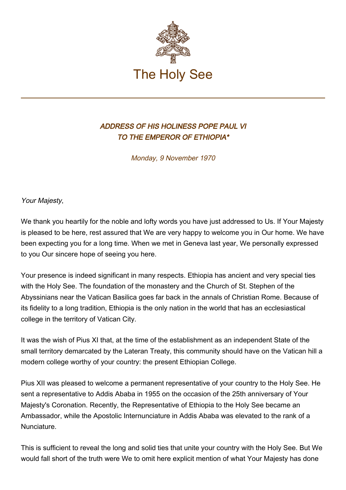

## ADDRESS OF HIS HOLINESS POPE PAUL VI TO THE EMPEROR OF ETHIOPIA\*

Monday, 9 November 1970

Your Majesty,

We thank you heartily for the noble and lofty words you have just addressed to Us. If Your Majesty is pleased to be here, rest assured that We are very happy to welcome you in Our home. We have been expecting you for a long time. When we met in Geneva last year, We personally expressed to you Our sincere hope of seeing you here.

Your presence is indeed significant in many respects. Ethiopia has ancient and very special ties with the Holy See. The foundation of the monastery and the Church of St. Stephen of the Abyssinians near the Vatican Basilica goes far back in the annals of Christian Rome. Because of its fidelity to a long tradition, Ethiopia is the only nation in the world that has an ecclesiastical college in the territory of Vatican City.

It was the wish of Pius XI that, at the time of the establishment as an independent State of the small territory demarcated by the Lateran Treaty, this community should have on the Vatican hill a modern college worthy of your country: the present Ethiopian College.

Pius XII was pleased to welcome a permanent representative of your country to the Holy See. He sent a representative to Addis Ababa in 1955 on the occasion of the 25th anniversary of Your Majesty's Coronation. Recently, the Representative of Ethiopia to the Holy See became an Ambassador, while the Apostolic Internunciature in Addis Ababa was elevated to the rank of a Nunciature.

This is sufficient to reveal the long and solid ties that unite your country with the Holy See. But We would fall short of the truth were We to omit here explicit mention of what Your Majesty has done